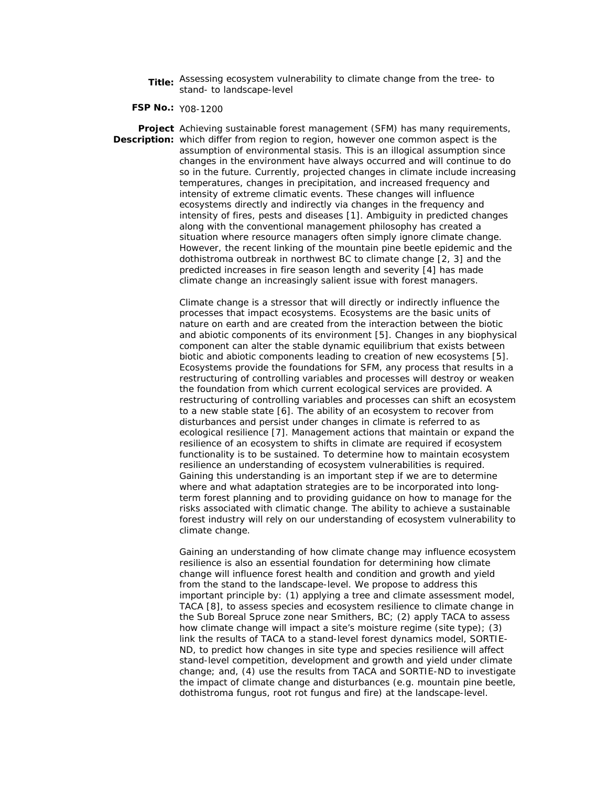**Title:** Assessing ecosystem vulnerability to climate change from the tree- to stand- to landscape-level

**FSP No.:** Y08-1200

**Project**  Achieving sustainable forest management (SFM) has many requirements, **Description:**  which differ from region to region, however one common aspect is the assumption of environmental stasis. This is an illogical assumption since changes in the environment have always occurred and will continue to do so in the future. Currently, projected changes in climate include increasing temperatures, changes in precipitation, and increased frequency and intensity of extreme climatic events. These changes will influence ecosystems directly and indirectly via changes in the frequency and intensity of fires, pests and diseases [1]. Ambiguity in predicted changes along with the conventional management philosophy has created a situation where resource managers often simply ignore climate change. However, the recent linking of the mountain pine beetle epidemic and the dothistroma outbreak in northwest BC to climate change [2, 3] and the predicted increases in fire season length and severity [4] has made climate change an increasingly salient issue with forest managers.

> Climate change is a stressor that will directly or indirectly influence the processes that impact ecosystems. Ecosystems are the basic units of nature on earth and are created from the interaction between the biotic and abiotic components of its environment [5]. Changes in any biophysical component can alter the stable dynamic equilibrium that exists between biotic and abiotic components leading to creation of new ecosystems [5]. Ecosystems provide the foundations for SFM, any process that results in a restructuring of controlling variables and processes will destroy or weaken the foundation from which current ecological services are provided. A restructuring of controlling variables and processes can shift an ecosystem to a new stable state [6]. The ability of an ecosystem to recover from disturbances and persist under changes in climate is referred to as ecological resilience [7]. Management actions that maintain or expand the resilience of an ecosystem to shifts in climate are required if ecosystem functionality is to be sustained. To determine how to maintain ecosystem resilience an understanding of ecosystem vulnerabilities is required. Gaining this understanding is an important step if we are to determine where and what adaptation strategies are to be incorporated into longterm forest planning and to providing guidance on how to manage for the risks associated with climatic change. The ability to achieve a sustainable forest industry will rely on our understanding of ecosystem vulnerability to climate change.

> Gaining an understanding of how climate change may influence ecosystem resilience is also an essential foundation for determining how climate change will influence forest health and condition and growth and yield from the stand to the landscape-level. We propose to address this important principle by: (1) applying a tree and climate assessment model, TACA [8], to assess species and ecosystem resilience to climate change in the Sub Boreal Spruce zone near Smithers, BC; (2) apply TACA to assess how climate change will impact a site's moisture regime (site type); (3) link the results of TACA to a stand-level forest dynamics model, SORTIE-ND, to predict how changes in site type and species resilience will affect stand-level competition, development and growth and yield under climate change; and, (4) use the results from TACA and SORTIE-ND to investigate the impact of climate change and disturbances (e.g. mountain pine beetle, dothistroma fungus, root rot fungus and fire) at the landscape-level.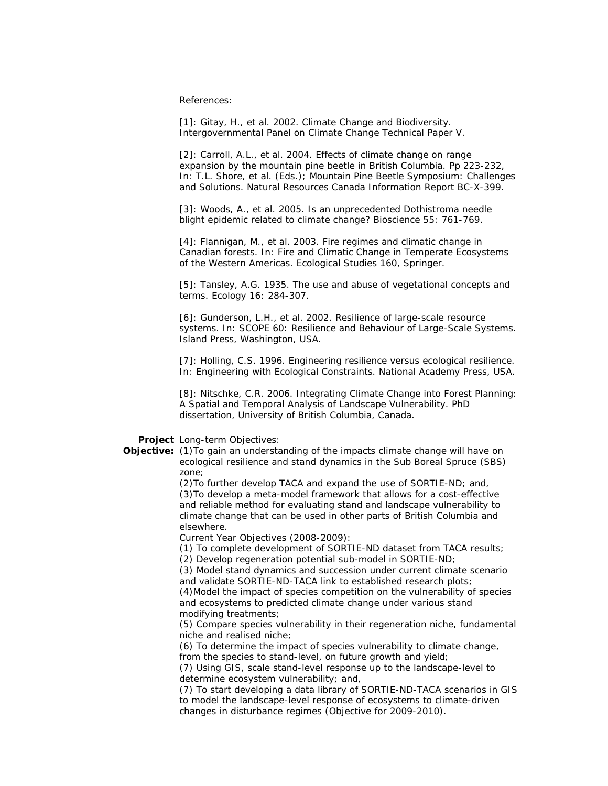References:

[1]: Gitay, H., et al. 2002. Climate Change and Biodiversity. Intergovernmental Panel on Climate Change Technical Paper V.

[2]: Carroll, A.L., et al. 2004. Effects of climate change on range expansion by the mountain pine beetle in British Columbia. Pp 223-232, In: T.L. Shore, et al. (Eds.); Mountain Pine Beetle Symposium: Challenges and Solutions. Natural Resources Canada Information Report BC-X-399.

[3]: Woods, A., et al. 2005. Is an unprecedented Dothistroma needle blight epidemic related to climate change? Bioscience 55: 761-769.

[4]: Flannigan, M., et al. 2003. Fire regimes and climatic change in Canadian forests. In: Fire and Climatic Change in Temperate Ecosystems of the Western Americas. Ecological Studies 160, Springer.

[5]: Tansley, A.G. 1935. The use and abuse of vegetational concepts and terms. Ecology 16: 284-307.

[6]: Gunderson, L.H., et al. 2002. Resilience of large-scale resource systems. In: SCOPE 60: Resilience and Behaviour of Large-Scale Systems. Island Press, Washington, USA.

[7]: Holling, C.S. 1996. Engineering resilience versus ecological resilience. In: Engineering with Ecological Constraints. National Academy Press, USA.

[8]: Nitschke, C.R. 2006. Integrating Climate Change into Forest Planning: A Spatial and Temporal Analysis of Landscape Vulnerability. PhD dissertation, University of British Columbia, Canada.

## **Project**  *Long-term Objectives*:

**Objective:** (1) To gain an understanding of the impacts climate change will have on ecological resilience and stand dynamics in the Sub Boreal Spruce (SBS) zone;

> (2)To further develop TACA and expand the use of SORTIE-ND; and, (3)To develop a meta-model framework that allows for a cost-effective and reliable method for evaluating stand and landscape vulnerability to climate change that can be used in other parts of British Columbia and elsewhere.

*Current Year Objectives (2008-2009):*

(1) To complete development of SORTIE-ND dataset from TACA results;

(2) Develop regeneration potential sub-model in SORTIE-ND;

(3) Model stand dynamics and succession under current climate scenario and validate SORTIE-ND-TACA link to established research plots;

(4)Model the impact of species competition on the vulnerability of species and ecosystems to predicted climate change under various stand modifying treatments;

(5) Compare species vulnerability in their regeneration niche, fundamental niche and realised niche;

(6) To determine the impact of species vulnerability to climate change, from the species to stand-level, on future growth and yield;

(7) Using GIS, scale stand-level response up to the landscape-level to determine ecosystem vulnerability; and,

(7) To start developing a data library of SORTIE-ND-TACA scenarios in GIS to model the landscape-level response of ecosystems to climate-driven changes in disturbance regimes (Objective for 2009-2010).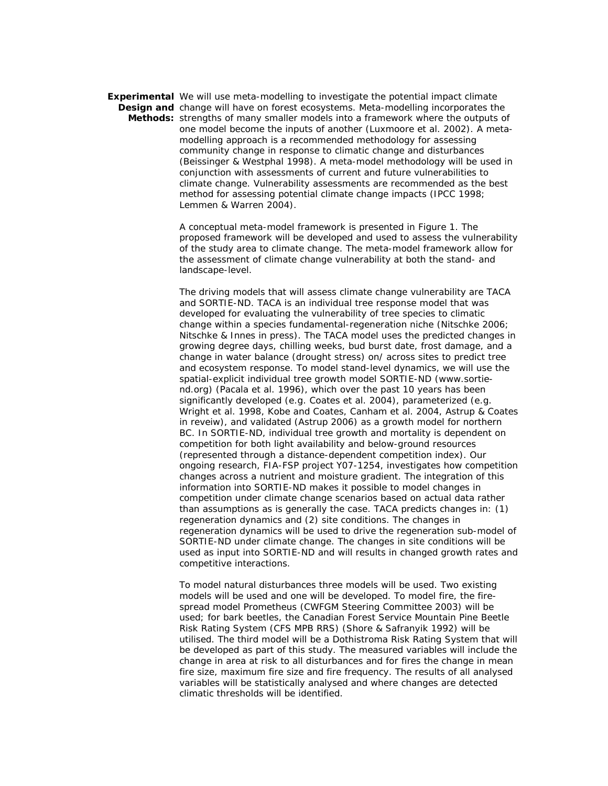**Experimental** We will use meta-modelling to investigate the potential impact climate **Design and** change will have on forest ecosystems. Meta-modelling incorporates the **Methods:**  strengths of many smaller models into a framework where the outputs of one model become the inputs of another (Luxmoore et al. 2002). A metamodelling approach is a recommended methodology for assessing community change in response to climatic change and disturbances (Beissinger & Westphal 1998). A meta-model methodology will be used in conjunction with assessments of current and future vulnerabilities to climate change. Vulnerability assessments are recommended as the best method for assessing potential climate change impacts (IPCC 1998; Lemmen & Warren 2004).

> A conceptual meta-model framework is presented in Figure 1. The proposed framework will be developed and used to assess the vulnerability of the study area to climate change. The meta-model framework allow for the assessment of climate change vulnerability at both the stand- and landscape-level.

> The driving models that will assess climate change vulnerability are TACA and SORTIE-ND. TACA is an individual tree response model that was developed for evaluating the vulnerability of tree species to climatic change within a species fundamental-regeneration niche (Nitschke 2006; Nitschke & Innes in press). The TACA model uses the predicted changes in growing degree days, chilling weeks, bud burst date, frost damage, and a change in water balance (drought stress) on/ across sites to predict tree and ecosystem response. To model stand-level dynamics, we will use the spatial-explicit individual tree growth model SORTIE-ND (www.sortiend.org) (Pacala et al. 1996), which over the past 10 years has been significantly developed (e.g. Coates et al. 2004), parameterized (e.g. Wright et al. 1998, Kobe and Coates, Canham et al. 2004, Astrup & Coates in reveiw), and validated (Astrup 2006) as a growth model for northern BC. In SORTIE-ND, individual tree growth and mortality is dependent on competition for both light availability and below-ground resources (represented through a distance-dependent competition index). Our ongoing research, FIA-FSP project Y07-1254, investigates how competition changes across a nutrient and moisture gradient. The integration of this information into SORTIE-ND makes it possible to model changes in competition under climate change scenarios based on actual data rather than assumptions as is generally the case. TACA predicts changes in: (1) regeneration dynamics and (2) site conditions. The changes in regeneration dynamics will be used to drive the regeneration sub-model of SORTIE-ND under climate change. The changes in site conditions will be used as input into SORTIE-ND and will results in changed growth rates and competitive interactions.

> To model natural disturbances three models will be used. Two existing models will be used and one will be developed. To model fire, the firespread model Prometheus (CWFGM Steering Committee 2003) will be used; for bark beetles, the Canadian Forest Service Mountain Pine Beetle Risk Rating System (CFS MPB RRS) (Shore & Safranyik 1992) will be utilised. The third model will be a Dothistroma Risk Rating System that will be developed as part of this study. The measured variables will include the change in area at risk to all disturbances and for fires the change in mean fire size, maximum fire size and fire frequency. The results of all analysed variables will be statistically analysed and where changes are detected climatic thresholds will be identified.